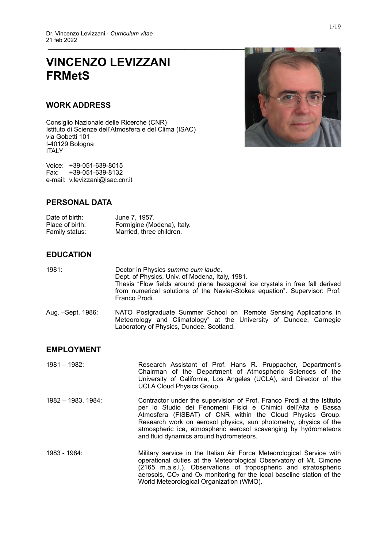# **VINCENZO LEVIZZANI FRMetS**

### **WORK ADDRESS**

Consiglio Nazionale delle Ricerche (CNR) Istituto di Scienze dell'Atmosfera e del Clima (ISAC) via Gobetti 101 I-40129 Bologna ITALY

Voice: +39-051-639-8015 Fax: +39-051-639-8132 e-mail: v.levizzani@isac.cnr.it



### **PERSONAL DATA**

| Date of birth:  | June 7, 1957.              |
|-----------------|----------------------------|
| Place of birth: | Formigine (Modena), Italy. |
| Family status:  | Married, three children.   |

### **EDUCATION**

| 1981: |                            | Doctor in Physics summa cum laude.<br>Dept. of Physics, Univ. of Modena, Italy, 1981.                                                                                       |
|-------|----------------------------|-----------------------------------------------------------------------------------------------------------------------------------------------------------------------------|
|       |                            | Thesis "Flow fields around plane hexagonal ice crystals in free fall derived<br>from numerical solutions of the Navier-Stokes equation". Supervisor: Prof.<br>Franco Prodi. |
|       | $\lambda_{11}$ Cont $1000$ | NATO Postaraduato Summor School on "Pomoto Sonsing Applications in                                                                                                          |

Aug. –Sept. 1986: NATO Postgraduate Summer School on "Remote Sensing Applications in Meteorology and Climatology" at the University of Dundee, Carnegie Laboratory of Physics, Dundee, Scotland.

### **EMPLOYMENT**

| 1981 - 1982:       | Research Assistant of Prof. Hans R. Pruppacher, Department's<br>Chairman of the Department of Atmospheric Sciences of the<br>University of California, Los Angeles (UCLA), and Director of the<br><b>UCLA Cloud Physics Group.</b>                                                                                                                                                     |
|--------------------|----------------------------------------------------------------------------------------------------------------------------------------------------------------------------------------------------------------------------------------------------------------------------------------------------------------------------------------------------------------------------------------|
| 1982 - 1983, 1984: | Contractor under the supervision of Prof. Franco Prodi at the Istituto<br>per lo Studio dei Fenomeni Fisici e Chimici dell'Alta e Bassa<br>Atmosfera (FISBAT) of CNR within the Cloud Physics Group.<br>Research work on aerosol physics, sun photometry, physics of the<br>atmospheric ice, atmospheric aerosol scavenging by hydrometeors<br>and fluid dynamics around hydrometeors. |
| 1983 - 1984:       | Military service in the Italian Air Force Meteorological Service with<br>cantine al duties of the Maternale diret Observation, of ML Oincore                                                                                                                                                                                                                                           |

operational duties at the Meteorological Observatory of Mt. Cimone (2165 m.a.s.l.). Observations of tropospheric and stratospheric aerosols, CO2 and O3 monitoring for the local baseline station of the World Meteorological Organization (WMO).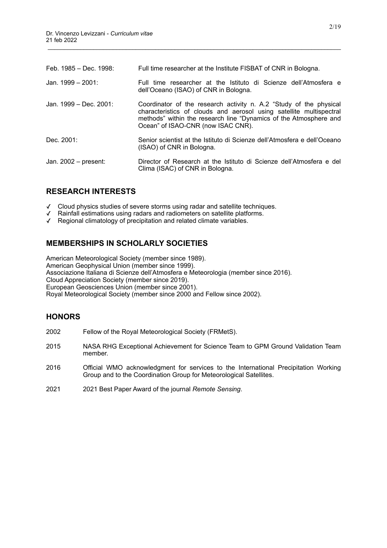| Feb. 1985 – Dec. 1998: | Full time researcher at the Institute FISBAT of CNR in Bologna.                                                                                                                                                                                      |
|------------------------|------------------------------------------------------------------------------------------------------------------------------------------------------------------------------------------------------------------------------------------------------|
| Jan. $1999 - 2001$ :   | Full time researcher at the Istituto di Scienze dell'Atmosfera e<br>dell'Oceano (ISAO) of CNR in Bologna.                                                                                                                                            |
| Jan. 1999 – Dec. 2001: | Coordinator of the research activity n. A.2 "Study of the physical<br>characteristics of clouds and aerosol using satellite multispectral<br>methods" within the research line "Dynamics of the Atmosphere and<br>Ocean" of ISAO-CNR (now ISAC CNR). |
| Dec. 2001:             | Senior scientist at the Istituto di Scienze dell'Atmosfera e dell'Oceano<br>(ISAO) of CNR in Bologna.                                                                                                                                                |
| Jan. 2002 - present:   | Director of Research at the Istituto di Scienze dell'Atmosfera e del<br>Clima (ISAC) of CNR in Bologna.                                                                                                                                              |

### **RESEARCH INTERESTS**

- Cloud physics studies of severe storms using radar and satellite techniques.
- Rainfall estimations using radars and radiometers on satellite platforms.
- ✓ Regional climatology of precipitation and related climate variables.

## **MEMBERSHIPS IN SCHOLARLY SOCIETIES**

American Meteorological Society (member since 1989). American Geophysical Union (member since 1999). Associazione Italiana di Scienze dell'Atmosfera e Meteorologia (member since 2016). Cloud Appreciation Society (member since 2019). European Geosciences Union (member since 2001). Royal Meteorological Society (member since 2000 and Fellow since 2002).

### **HONORS**

- 2002 Fellow of the Royal Meteorological Society (FRMetS).
- 2015 NASA RHG Exceptional Achievement for Science Team to GPM Ground Validation Team member.
- 2016 Official WMO acknowledgment for services to the International Precipitation Working Group and to the Coordination Group for Meteorological Satellites.
- 2021 2021 Best Paper Award of the journal *Remote Sensing*.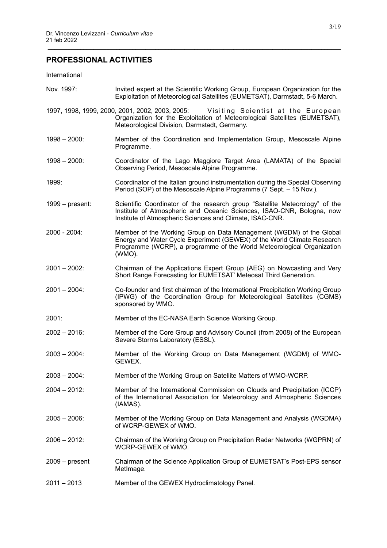# **PROFESSIONAL ACTIVITIES**

#### **International**

| Nov. 1997:       | Invited expert at the Scientific Working Group, European Organization for the<br>Exploitation of Meteorological Satellites (EUMETSAT), Darmstadt, 5-6 March.                                                                       |
|------------------|------------------------------------------------------------------------------------------------------------------------------------------------------------------------------------------------------------------------------------|
|                  | 1997, 1998, 1999, 2000, 2001, 2002, 2003, 2005: Visiting Scientist at the European<br>Organization for the Exploitation of Meteorological Satellites (EUMETSAT),<br>Meteorological Division, Darmstadt, Germany.                   |
| $1998 - 2000$ :  | Member of the Coordination and Implementation Group, Mesoscale Alpine<br>Programme.                                                                                                                                                |
| $1998 - 2000$ :  | Coordinator of the Lago Maggiore Target Area (LAMATA) of the Special<br>Observing Period, Mesoscale Alpine Programme.                                                                                                              |
| 1999:            | Coordinator of the Italian ground instrumentation during the Special Observing<br>Period (SOP) of the Mesoscale Alpine Programme (7 Sept. - 15 Nov.).                                                                              |
| 1999 – present:  | Scientific Coordinator of the research group "Satellite Meteorology" of the<br>Institute of Atmospheric and Oceanic Sciences, ISAO-CNR, Bologna, now<br>Institute of Atmospheric Sciences and Climate, ISAC-CNR.                   |
| 2000 - 2004:     | Member of the Working Group on Data Management (WGDM) of the Global<br>Energy and Water Cycle Experiment (GEWEX) of the World Climate Research<br>Programme (WCRP), a programme of the World Meteorological Organization<br>(WMO). |
| $2001 - 2002$ :  | Chairman of the Applications Expert Group (AEG) on Nowcasting and Very<br>Short Range Forecasting for EUMETSAT' Meteosat Third Generation.                                                                                         |
| $2001 - 2004$ :  | Co-founder and first chairman of the International Precipitation Working Group<br>(IPWG) of the Coordination Group for Meteorological Satellites (CGMS)<br>sponsored by WMO.                                                       |
| 2001:            | Member of the EC-NASA Earth Science Working Group.                                                                                                                                                                                 |
| $2002 - 2016$ :  | Member of the Core Group and Advisory Council (from 2008) of the European<br>Severe Storms Laboratory (ESSL).                                                                                                                      |
| $2003 - 2004$ :  | Member of the Working Group on Data Management (WGDM) of WMO-<br>GEWEX.                                                                                                                                                            |
| $2003 - 2004$ :  | Member of the Working Group on Satellite Matters of WMO-WCRP.                                                                                                                                                                      |
| $2004 - 2012$ :  | Member of the International Commission on Clouds and Precipitation (ICCP)<br>of the International Association for Meteorology and Atmospheric Sciences<br>(IAMAS).                                                                 |
| $2005 - 2006$ :  | Member of the Working Group on Data Management and Analysis (WGDMA)<br>of WCRP-GEWEX of WMO.                                                                                                                                       |
| $2006 - 2012$ :  | Chairman of the Working Group on Precipitation Radar Networks (WGPRN) of<br>WCRP-GEWEX of WMO.                                                                                                                                     |
| $2009 - present$ | Chairman of the Science Application Group of EUMETSAT's Post-EPS sensor<br>MetImage.                                                                                                                                               |
| $2011 - 2013$    | Member of the GEWEX Hydroclimatology Panel.                                                                                                                                                                                        |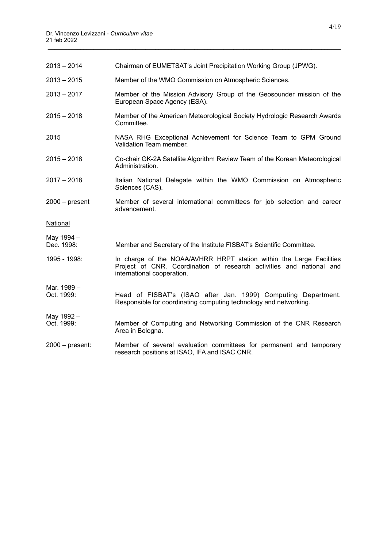| $2013 - 2014$             | Chairman of EUMETSAT's Joint Precipitation Working Group (JPWG).                                                                                                           |
|---------------------------|----------------------------------------------------------------------------------------------------------------------------------------------------------------------------|
| $2013 - 2015$             | Member of the WMO Commission on Atmospheric Sciences.                                                                                                                      |
| $2013 - 2017$             | Member of the Mission Advisory Group of the Geosounder mission of the<br>European Space Agency (ESA).                                                                      |
| $2015 - 2018$             | Member of the American Meteorological Society Hydrologic Research Awards<br>Committee.                                                                                     |
| 2015                      | NASA RHG Exceptional Achievement for Science Team to GPM Ground<br>Validation Team member.                                                                                 |
| $2015 - 2018$             | Co-chair GK-2A Satellite Algorithm Review Team of the Korean Meteorological<br>Administration.                                                                             |
| $2017 - 2018$             | Italian National Delegate within the WMO Commission on Atmospheric<br>Sciences (CAS).                                                                                      |
| $2000 - present$          | Member of several international committees for job selection and career<br>advancement.                                                                                    |
| National                  |                                                                                                                                                                            |
| May 1994 -<br>Dec. 1998:  | Member and Secretary of the Institute FISBAT's Scientific Committee.                                                                                                       |
| 1995 - 1998:              | In charge of the NOAA/AVHRR HRPT station within the Large Facilities<br>Project of CNR. Coordination of research activities and national and<br>international cooperation. |
| Mar. 1989 -<br>Oct. 1999: | Head of FISBAT's (ISAO after Jan. 1999) Computing Department.<br>Responsible for coordinating computing technology and networking.                                         |
| May 1992 -<br>Oct. 1999:  | Member of Computing and Networking Commission of the CNR Research<br>Area in Bologna.                                                                                      |
| $2000 - present$ :        | Member of several evaluation committees for permanent and temporary<br>research positions at ISAO, IFA and ISAC CNR.                                                       |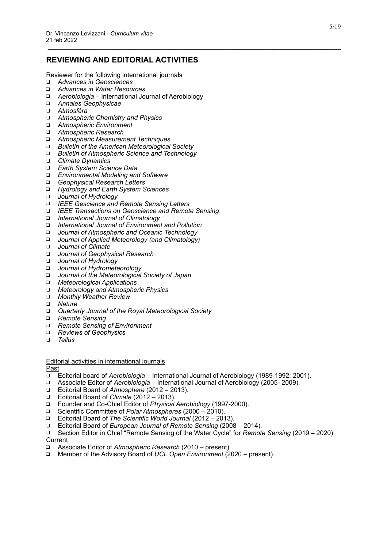### **REVIEWING AND EDITORIAL ACTIVITIES**

\_\_\_\_\_\_\_\_\_\_\_\_\_\_\_\_\_\_\_\_\_\_\_\_\_\_\_\_\_\_\_\_\_\_\_\_\_\_\_\_\_\_\_\_\_\_\_\_\_\_\_\_\_\_\_\_\_\_\_\_\_\_\_\_\_\_\_\_\_\_\_\_\_\_\_\_\_\_\_\_\_\_\_\_\_\_\_\_\_\_

Reviewer for the following international journals

- ❑ *Advances in Geosciences*
- ❑ *Advances in Water Resources*
- ❑ *Aerobiologia* International Journal of Aerobiology
- ❑ *Annales Geophysicae*
- ❑ *Atmosféra*
- ❑ *Atmospheric Chemistry and Physics*
- ❑ *Atmospheric Environment*
- ❑ *Atmospheric Research*
- ❑ *Atmospheric Measurement Techniques*
- ❑ *Bulletin of the American Meteorological Society*
- ❑ *Bulletin of Atmospheric Science and Technology*
- ❑ *Climate Dynamics*
- ❑ *Earth System Science Data*
- ❑ *Environmental Modeling and Software*
- ❑ *Geophysical Research Letters*
- ❑ *Hydrology and Earth System Sciences*
- ❑ *Journal of Hydrology*
- ❑ *IEEE Gescience and Remote Sensing Letters*
- ❑ *IEEE Transactions on Geoscience and Remote Sensing*
- ❑ *International Journal of Climatology*
- ❑ *International Journal of Environment and Pollution*
- ❑ *Journal of Atmospheric and Oceanic Technology*
- ❑ *Journal of Applied Meteorology (and Climatology)*
- ❑ *Journal of Climate*
- ❑ *Journal of Geophysical Research*
- ❑ *Journal of Hydrology*
- ❑ *Journal of Hydrometeorology*
- ❑ *Journal of the Meteorological Society of Japan*
- ❑ *Meteorological Applications*
- ❑ *Meteorology and Atmospheric Physics*
- ❑ *Monthly Weather Review*
- ❑ *Nature*
- ❑ *Quarterly Journal of the Royal Meteorological Society*
- ❑ *Remote Sensing*
- ❑ *Remote Sensing of Environment*
- ❑ *Reviews of Geophysics*
- ❑ *Tellus*

#### Editorial activities in international journals

Past

- ❑ Editorial board of *Aerobiologia* International Journal of Aerobiology (1989-1992; 2001).
- ❑ Associate Editor of *Aerobiologia* International Journal of Aerobiology (2005- 2009).
- ❑ Editorial Board of *Atmosphere* (2012 2013).
- ❑ Editorial Board of *Climate* (2012 2013).
- ❑ Founder and Co-Chief Editor of *Physical Aerobiology* (1997-2000).
- ❑ Scientific Committee of *Polar Atmospheres* (2000 2010).
- ❑ Editorial Board of *The Scientific World Journal* (2012 2013).
- ❑ Editorial Board of *European Journal of Remote Sensing* (2008 2014).

❑ Section Editor in Chief "Remote Sensing of the Water Cycle" for *Remote Sensing* (2019 – 2020). **Current** 

- ❑ Associate Editor of *Atmospheric Research* (2010 present).
- ❑ Member of the Advisory Board of *UCL Open Environment* (2020 present).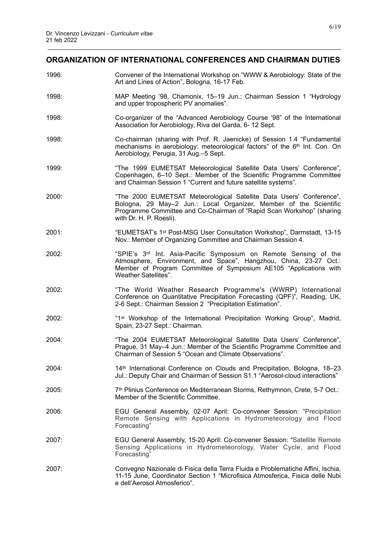# \_\_\_\_\_\_\_\_\_\_\_\_\_\_\_\_\_\_\_\_\_\_\_\_\_\_\_\_\_\_\_\_\_\_\_\_\_\_\_\_\_\_\_\_\_\_\_\_\_\_\_\_\_\_\_\_\_\_\_\_\_\_\_\_\_\_\_\_\_\_\_\_\_\_\_\_\_\_\_\_\_\_\_\_\_\_\_\_\_\_ **ORGANIZATION OF INTERNATIONAL CONFERENCES AND CHAIRMAN DUTIES**

1996: Convener of the International Workshop on "WWW & Aerobiology: State of the Art and Lines of Action", Bologna, 16-17 Feb. 1998: MAP Meeting '98, Chamonix, 15–19 Jun.: Chairman Session 1 "Hydrology and upper tropospheric PV anomalies". 1998: Co-organizer of the "Advanced Aerobiology Course '98" of the International Association for Aerobiology, Riva del Garda, 6- 12 Sept. 1998: Co-chairman (sharing with Prof. R. Jaenicke) of Session 1.4 "Fundamental mechanisms in aerobiology: meteorological factors" of the 6<sup>th</sup> Int. Con. On Aerobiology, Perugia, 31 Aug.–5 Sept. 1999: "The 1999 EUMETSAT Meteorological Satellite Data Users' Conference", Copenhagen, 6–10 Sept.: Member of the Scientific Programme Committee and Chairman Session 1 "Current and future satellite systems". 2000: "The 2000 EUMETSAT Meteorological Satellite Data Users' Conference", Bologna, 29 May–2 Jun.: Local Organizer, Member of the Scientific Programme Committee and Co-Chairman of "Rapid Scan Workshop" (sharing with Dr. H. P. Roesli). 2001: "EUMETSAT's 1st Post-MSG User Consultation Workshop", Darmstadt, 13-15 Nov.: Member of Organizing Committee and Chairman Session 4. 2002: "SPIE's 3rd Int. Asia-Pacific Symposium on Remote Sensing of the Atmosphere, Environment, and Space", Hangzhou, China, 23-27 Oct.: Member of Program Committee of Symposium AE105 "Applications with Weather Satellites". 2002: "The World Weather Research Programme's (WWRP) International Conference on Quantitative Precipitation Forecasting (QPF)", Reading, UK, 2-6 Sept.: Chairman Session 2 "Precipitation Estimation". 2002: "1st Workshop of the International Precipitation Working Group", Madrid, Spain, 23-27 Sept.: Chairman. 2004: "The 2004 EUMETSAT Meteorological Satellite Data Users' Conference", Prague, 31 May–4 Jun.: Member of the Scientific Programme Committee and Chairman of Session 5 "Ocean and Climate Observations". 2004: 14th International Conference on Clouds and Precipitation, Bologna, 18–23 Jul.: Deputy Chair and Chairman of Session S1.1 "Aerosol-cloud interactions" 2005: 7<sup>th</sup> Plinius Conference on Mediterranean Storms, Rethymnon, Crete, 5-7 Oct.: Member of the Scientific Committee. 2006: EGU General Assembly, 02-07 April: Co-convener Session: "Precipitation Remote Sensing with Applications in Hydrometeorology and Flood Forecasting" 2007: EGU General Assembly, 15-20 April: Co-convener Session: "Satellite Remote Sensing Applications in Hydrometeorology, Water Cycle, and Flood Forecasting" 2007: Convegno Nazionale di Fisica della Terra Fluida e Problematiche Affini, Ischia, 11-15 June, Coordinator Section 1 "Microfisica Atmosferica, Fisica delle Nubi e dell'Aerosol Atmosferico".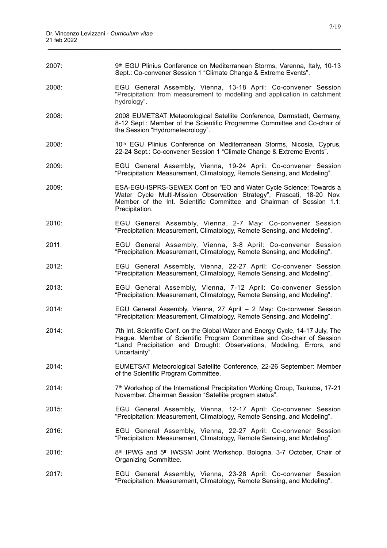| 2007: | 9th EGU Plinius Conference on Mediterranean Storms, Varenna, Italy, 10-13<br>Sept.: Co-convener Session 1 "Climate Change & Extreme Events".                                                                                                      |
|-------|---------------------------------------------------------------------------------------------------------------------------------------------------------------------------------------------------------------------------------------------------|
| 2008: | EGU General Assembly, Vienna, 13-18 April: Co-convener Session<br>"Precipitation: from measurement to modelling and application in catchment<br>hydrology".                                                                                       |
| 2008: | 2008 EUMETSAT Meteorological Satellite Conference, Darmstadt, Germany,<br>8-12 Sept.: Member of the Scientific Programme Committee and Co-chair of<br>the Session "Hydrometeorology".                                                             |
| 2008: | 10 <sup>th</sup> EGU Plinius Conference on Mediterranean Storms, Nicosia, Cyprus,<br>22-24 Sept.: Co-convener Session 1 "Climate Change & Extreme Events".                                                                                        |
| 2009: | EGU General Assembly, Vienna, 19-24 April: Co-convener Session<br>"Precipitation: Measurement, Climatology, Remote Sensing, and Modeling".                                                                                                        |
| 2009: | ESA-EGU-ISPRS-GEWEX Conf on "EO and Water Cycle Science: Towards a<br>Water Cycle Multi-Mission Observation Strategy", Frascati, 18-20 Nov.<br>Member of the Int. Scientific Committee and Chairman of Session 1.1:<br>Precipitation.             |
| 2010: | EGU General Assembly, Vienna, 2-7 May: Co-convener Session<br>"Precipitation: Measurement, Climatology, Remote Sensing, and Modeling".                                                                                                            |
| 2011: | EGU General Assembly, Vienna, 3-8 April: Co-convener Session<br>"Precipitation: Measurement, Climatology, Remote Sensing, and Modeling".                                                                                                          |
| 2012: | EGU General Assembly, Vienna, 22-27 April: Co-convener Session<br>"Precipitation: Measurement, Climatology, Remote Sensing, and Modeling".                                                                                                        |
| 2013: | EGU General Assembly, Vienna, 7-12 April: Co-convener Session<br>"Precipitation: Measurement, Climatology, Remote Sensing, and Modeling".                                                                                                         |
| 2014: | EGU General Assembly, Vienna, 27 April - 2 May: Co-convener Session<br>"Precipitation: Measurement, Climatology, Remote Sensing, and Modeling".                                                                                                   |
| 2014: | 7th Int. Scientific Conf. on the Global Water and Energy Cycle, 14-17 July, The<br>Hague. Member of Scientific Program Committee and Co-chair of Session<br>"Land Precipitation and Drought: Observations, Modeling, Errors, and<br>Uncertainty". |
| 2014: | EUMETSAT Meteorological Satellite Conference, 22-26 September: Member<br>of the Scientific Program Committee.                                                                                                                                     |
| 2014: | 7 <sup>th</sup> Workshop of the International Precipitation Working Group, Tsukuba, 17-21<br>November. Chairman Session "Satellite program status".                                                                                               |
| 2015: | EGU General Assembly, Vienna, 12-17 April: Co-convener Session<br>"Precipitation: Measurement, Climatology, Remote Sensing, and Modeling".                                                                                                        |
| 2016: | EGU General Assembly, Vienna, 22-27 April: Co-convener Session<br>"Precipitation: Measurement, Climatology, Remote Sensing, and Modeling".                                                                                                        |
| 2016: | 8th IPWG and 5th IWSSM Joint Workshop, Bologna, 3-7 October, Chair of<br>Organizing Committee.                                                                                                                                                    |
| 2017: | EGU General Assembly, Vienna, 23-28 April: Co-convener Session<br>"Precipitation: Measurement, Climatology, Remote Sensing, and Modeling".                                                                                                        |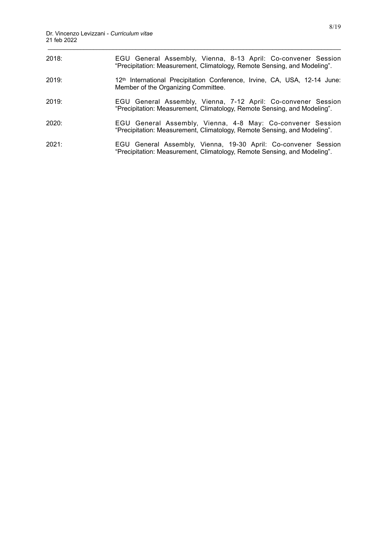| 2018: | EGU General Assembly, Vienna, 8-13 April: Co-convener Session<br>"Precipitation: Measurement, Climatology, Remote Sensing, and Modeling".  |
|-------|--------------------------------------------------------------------------------------------------------------------------------------------|
| 2019: | 12 <sup>th</sup> International Precipitation Conference, Irvine, CA, USA, 12-14 June:<br>Member of the Organizing Committee.               |
| 2019: | EGU General Assembly, Vienna, 7-12 April: Co-convener Session<br>"Precipitation: Measurement, Climatology, Remote Sensing, and Modeling".  |
| 2020: | EGU General Assembly, Vienna, 4-8 May: Co-convener Session<br>"Precipitation: Measurement, Climatology, Remote Sensing, and Modeling".     |
| 2021: | EGU General Assembly, Vienna, 19-30 April: Co-convener Session<br>"Precipitation: Measurement, Climatology, Remote Sensing, and Modeling". |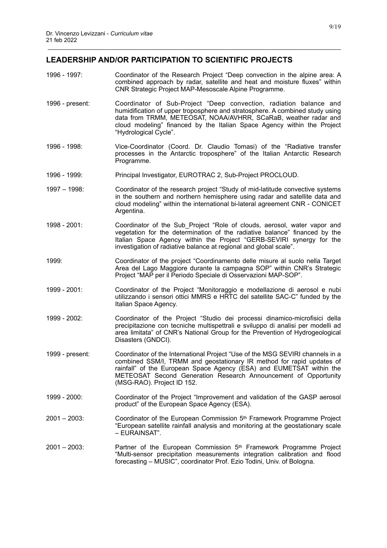### **LEADERSHIP AND/OR PARTICIPATION TO SCIENTIFIC PROJECTS**

1996 - 1997: Coordinator of the Research Project "Deep convection in the alpine area: A combined approach by radar, satellite and heat and moisture fluxes" within CNR Strategic Project MAP-Mesoscale Alpine Programme.

- 1996 present: Coordinator of Sub-Project "Deep convection, radiation balance and humidification of upper troposphere and stratosphere. A combined study using data from TRMM, METEOSAT, NOAA/AVHRR, SCaRaB, weather radar and cloud modeling" financed by the Italian Space Agency within the Project "Hydrological Cycle".
- 1996 1998: Vice-Coordinator (Coord. Dr. Claudio Tomasi) of the "Radiative transfer processes in the Antarctic troposphere" of the Italian Antarctic Research Programme.
- 1996 1999: Principal Investigator, EUROTRAC 2, Sub-Project PROCLOUD.
- 1997 1998: Coordinator of the research project "Study of mid-latitude convective systems in the southern and northern hemisphere using radar and satellite data and cloud modeling" within the international bi-lateral agreement CNR - CONICET Argentina.
- 1998 2001: Coordinator of the Sub\_Project "Role of clouds, aerosol, water vapor and vegetation for the determination of the radiative balance" financed by the Italian Space Agency within the Project "GERB-SEVIRI synergy for the investigation of radiative balance at regional and global scale".
- 1999: Coordinator of the project "Coordinamento delle misure al suolo nella Target Area del Lago Maggiore durante la campagna SOP" within CNR's Strategic Project "MAP per il Periodo Speciale di Osservazioni MAP-SOP".
- 1999 2001: Coordinator of the Project "Monitoraggio e modellazione di aerosol e nubi utilizzando i sensori ottici MMRS e HRTC del satellite SAC-C" funded by the Italian Space Agency.
- 1999 2002: Coordinator of the Project "Studio dei processi dinamico-microfisici della precipitazione con tecniche multispettrali e sviluppo di analisi per modelli ad area limitata" of CNR's National Group for the Prevention of Hydrogeological Disasters (GNDCI).
- 1999 present: Coordinator of the International Project "Use of the MSG SEVIRI channels in a combined SSM/I, TRMM and geostationary IR method for rapid updates of rainfall" of the European Space Agency (ESA) and EUMETSAT within the METEOSAT Second Generation Research Announcement of Opportunity (MSG-RAO). Project ID 152.
- 1999 2000: Coordinator of the Project "Improvement and validation of the GASP aerosol product" of the European Space Agency (ESA).
- $2001 2003$ : Coordinator of the European Commission  $5<sup>th</sup>$  Framework Programme Project "European satellite rainfall analysis and monitoring at the geostationary scale – EURAINSAT".
- $2001 2003$ : Partner of the European Commission  $5<sup>th</sup>$  Framework Programme Project "Multi-sensor precipitation measurements integration calibration and flood forecasting – MUSIC", coordinator Prof. Ezio Todini, Univ. of Bologna.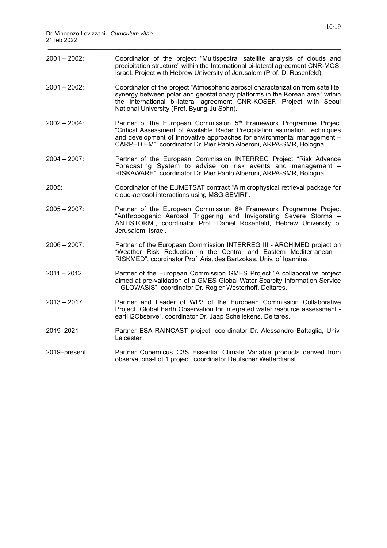| 2001 - 2002:    | Coordinator of the project "Multispectral satellite analysis of clouds and<br>precipitation structure" within the International bi-lateral agreement CNR-MOS,<br>Israel. Project with Hebrew University of Jerusalem (Prof. D. Rosenfeld).                                                                      |
|-----------------|-----------------------------------------------------------------------------------------------------------------------------------------------------------------------------------------------------------------------------------------------------------------------------------------------------------------|
| 2001 – 2002:    | Coordinator of the project "Atmospheric aerosol characterization from satellite:<br>synergy between polar and geostationary platforms in the Korean area" within<br>the International bi-lateral agreement CNR-KOSEF. Project with Seoul<br>National University (Prof. Byung-Ju Sohn).                          |
| 2002 - 2004:    | Partner of the European Commission 5 <sup>th</sup> Framework Programme Project<br>"Critical Assessment of Available Radar Precipitation estimation Techniques<br>and development of innovative approaches for environmental management -<br>CARPEDIEM", coordinator Dr. Pier Paolo Alberoni, ARPA-SMR, Bologna. |
| 2004 - 2007:    | Partner of the European Commission INTERREG Project "Risk Advance<br>Forecasting System to advise on risk events and management -<br>RISKAWARE", coordinator Dr. Pier Paolo Alberoni, ARPA-SMR, Bologna.                                                                                                        |
| 2005:           | Coordinator of the EUMETSAT contract "A microphysical retrieval package for<br>cloud-aerosol interactions using MSG SEVIRI".                                                                                                                                                                                    |
| $2005 - 2007$ : | Partner of the European Commission 6th Framework Programme Project<br>"Anthropogenic Aerosol Triggering and Invigorating Severe Storms -<br>ANTISTORM", coordinator Prof. Daniel Rosenfeld, Hebrew University of<br>Jerusalem, Israel.                                                                          |
| 2006 - 2007:    | Partner of the European Commission INTERREG III - ARCHIMED project on<br>"Weather Risk Reduction in the Central and Eastern Mediterranean -<br>RISKMED", coordinator Prof. Aristides Bartzokas, Univ. of Ioannina.                                                                                              |
| 2011 - 2012     | Partner of the European Commission GMES Project "A collaborative project<br>aimed at pre-validation of a GMES Global Water Scarcity Information Service<br>- GLOWASIS", coordinator Dr. Rogier Westerhoff, Deltares.                                                                                            |
| $2013 - 2017$   | Partner and Leader of WP3 of the European Commission Collaborative<br>Project "Global Earth Observation for integrated water resource assessment -<br>eartH2Observe", coordinator Dr. Jaap Schellekens, Deltares.                                                                                               |
| 2019-2021       | Partner ESA RAINCAST project, coordinator Dr. Alessandro Battaglia, Univ.<br>Leicester.                                                                                                                                                                                                                         |
| 2019-present    | Partner Copernicus C3S Essential Climate Variable products derived from<br>observations-Lot 1 project, coordinator Deutscher Wetterdienst.                                                                                                                                                                      |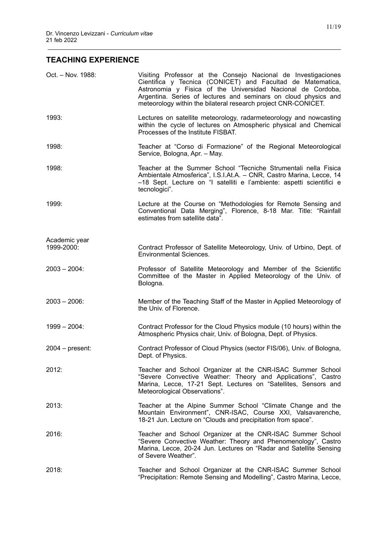# **TEACHING EXPERIENCE**

| Oct. - Nov. 1988:  | Visiting Professor at the Consejo Nacional de Investigaciones<br>Cientifica y Tecnica (CONICET) and Facultad de Matematica,<br>Astronomia y Fisica of the Universidad Nacional de Cordoba,<br>Argentina. Series of lectures and seminars on cloud physics and<br>meteorology within the bilateral research project CNR-CONICET. |
|--------------------|---------------------------------------------------------------------------------------------------------------------------------------------------------------------------------------------------------------------------------------------------------------------------------------------------------------------------------|
| 1993:              | Lectures on satellite meteorology, radarmeteorology and nowcasting<br>within the cycle of lectures on Atmospheric physical and Chemical<br>Processes of the Institute FISBAT.                                                                                                                                                   |
| 1998:              | Teacher at "Corso di Formazione" of the Regional Meteorological<br>Service, Bologna, Apr. - May.                                                                                                                                                                                                                                |
| 1998:              | Teacher at the Summer School "Tecniche Strumentali nella Fisica<br>Ambientale Atmosferica", I.S.I.At.A. - CNR, Castro Marina, Lecce, 14<br>-18 Sept. Lecture on "I satelliti e l'ambiente: aspetti scientifici e<br>tecnologici".                                                                                               |
| 1999:              | Lecture at the Course on "Methodologies for Remote Sensing and<br>Conventional Data Merging", Florence, 8-18 Mar. Title: "Rainfall<br>estimates from satellite data".                                                                                                                                                           |
| Academic year      |                                                                                                                                                                                                                                                                                                                                 |
| 1999-2000:         | Contract Professor of Satellite Meteorology, Univ. of Urbino, Dept. of<br><b>Environmental Sciences.</b>                                                                                                                                                                                                                        |
| $2003 - 2004$ :    | Professor of Satellite Meteorology and Member of the Scientific<br>Committee of the Master in Applied Meteorology of the Univ. of<br>Bologna.                                                                                                                                                                                   |
| $2003 - 2006$ :    | Member of the Teaching Staff of the Master in Applied Meteorology of<br>the Univ. of Florence.                                                                                                                                                                                                                                  |
| $1999 - 2004$ :    | Contract Professor for the Cloud Physics module (10 hours) within the<br>Atmospheric Physics chair, Univ. of Bologna, Dept. of Physics.                                                                                                                                                                                         |
| $2004 - present$ : | Contract Professor of Cloud Physics (sector FIS/06), Univ. of Bologna,<br>Dept. of Physics.                                                                                                                                                                                                                                     |
| 2012:              | Teacher and School Organizer at the CNR-ISAC Summer School<br>"Severe Convective Weather: Theory and Applications", Castro<br>Marina, Lecce, 17-21 Sept. Lectures on "Satellites, Sensors and<br>Meteorological Observations".                                                                                                  |
| 2013:              | Teacher at the Alpine Summer School "Climate Change and the<br>Mountain Environment", CNR-ISAC, Course XXI, Valsavarenche,<br>18-21 Jun. Lecture on "Clouds and precipitation from space".                                                                                                                                      |
| 2016:              | Teacher and School Organizer at the CNR-ISAC Summer School<br>"Severe Convective Weather: Theory and Phenomenology", Castro<br>Marina, Lecce, 20-24 Jun. Lectures on "Radar and Satellite Sensing<br>of Severe Weather".                                                                                                        |
| 2018:              | Teacher and School Organizer at the CNR-ISAC Summer School<br>"Precipitation: Remote Sensing and Modelling", Castro Marina, Lecce,                                                                                                                                                                                              |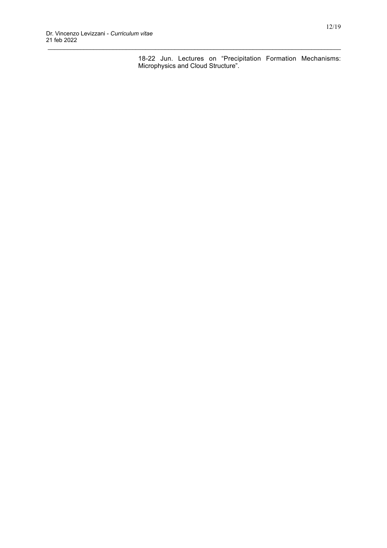18-22 Jun. Lectures on "Precipitation Formation Mechanisms: Microphysics and Cloud Structure".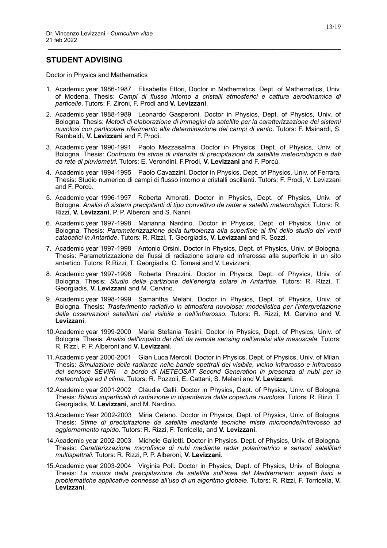### **STUDENT ADVISING**

Doctor in Physics and Mathematics

1. Academic year 1986-1987 Elisabetta Ettori, Doctor in Mathematics, Dept. of Mathematics, Univ. of Modena. Thesis: *Campi di flusso intorno a cristalli atmosferici e cattura aerodinamica di particelle*. Tutors: F. Zironi, F. Prodi and **V. Levizzani**.

- 2. Academic year 1988-1989 Leonardo Gasperoni. Doctor in Physics, Dept. of Physics, Univ. of Bologna. Thesis: *Metodi di elaborazione di immagini da satellite per la caratterizzazione dei sistemi nuvolosi con particolare riferimento alla determinazione dei campi di vento*. Tutors: F. Mainardi, S. Rambaldi, **V. Levizzani** and F. Prodi.
- 3. Academic year 1990-1991 Paolo Mezzasalma. Doctor in Physics, Dept. of Physics, Univ. of Bologna. Thesis: *Confronto fra stime di intensità di precipitazioni da satellite meteorologico e dati da rete di pluviometri*. Tutors: E. Verondini, F.Prodi, **V. Levizzani** and F. Porcù.
- 4. Academic year 1994-1995 Paolo Cavazzini. Doctor in Physics, Dept. of Physics, Univ. of Ferrara. Thesis: Studio numerico di campi di flusso intorno a cristalli oscillanti. Tutors: F. Prodi, V. Levizzani and F. Porcù.
- 5. Academic year 1996-1997 Roberta Amorati. Doctor in Physics, Dept. of Physics, Univ. of Bologna. *Analisi di sistemi precipitanti di tipo convettivo da radar e satelliti meteorologici*. Tutors: R. Rizzi, **V. Levizzani**, P. P. Alberoni and S. Nanni.
- 6. Academic year 1997-1998 Marianna Nardino. Doctor in Physics, Dept. of Physics, Univ. of Bologna. Thesis: *Parameterizzazione della turbolenza alla superficie ai fini dello studio dei venti catabatici in Antartide*. Tutors: R. Rizzi, T. Georgiadis, **V. Levizzani** and R. Sozzi.
- 7. Academic year 1997-1998 Antonio Orsini. Doctor in Physics, Dept. of Physics, Univ. of Bologna. Thesis: Parametrizzazione dei flussi di radiazione solare ed infrarossa alla superficie in un sito antartico. Tutors: R.Rizzi, T. Georgiadis, C. Tomasi and V. Levizzani.
- 8. Academic year 1997-1998 Roberta Pirazzini. Doctor in Physics, Dept. of Physics, Univ. of Bologna. Thesis: *Studio della partizione dell'energia solare in Antartide*. Tutors: R. Rizzi, T. Georgiadis, **V. Levizzani** and M. Cervino.
- 9. Academic year 1998-1999 Samantha Melani. Doctor in Physics, Dept. of Physics, Univ. of Bologna. Thesis: *Trasferimento radiativo in atmosfera nuvolosa: modellistica per l'interpretazione delle osservazioni satellitari nel visibile e nell'infrarosso*. Tutors: R. Rizzi, M. Cervino and **V. Levizzani**.
- 10.Academic year 1999-2000 Maria Stefania Tesini. Doctor in Physics, Dept. of Physics, Univ. of Bologna. Thesis: *Analisi dell'impatto dei dati da remote sensing nell'analisi alla mesoscala*. Tutors: R. Rizzi, P. P. Alberoni and **V. Levizzani**.
- 11.Academic year 2000-2001 Gian Luca Mercoli. Doctor in Physics, Dept. of Physics, Univ. of Milan. Thesis: *Simulazione delle radianze nelle bande spettrali del visibile, vicino infrarosso e infrarosso del sensore SEVIRI a bordo di METEOSAT Second Generation in presenza di nubi per la meteorologia ed il clima*. Tutors: R. Pozzoli, E. Cattani, S. Melani and **V. Levizzani**.
- 12.Academic year 2001-2002 Claudia Galli. Doctor in Physics, Dept. of Physics, Univ. of Bologna. Thesis: *Bilanci superficiali di radiazione in dipendenza dalla copertura nuvolosa*. Tutors: R. Rizzi, T. Georgiadis, **V. Levizzani**, and M. Nardino.
- 13.Academic Year 2002-2003 Miria Celano. Doctor in Physics, Dept. of Physics, Univ. of Bologna. Thesis: *Stime di precipitazione da satellite mediante tecniche miste microonde/infrarosso ad aggiornamento rapido*. Tutors: R. Rizzi, F. Torricella, and **V. Levizzani**.
- 14.Academic year 2002-2003 Michele Galletti. Doctor in Physics, Dept. of Physics, Univ. of Bologna. Thesis: *Caratterizzazione microfisica di nubi mediante radar polarimetrico e sensori satellitari multispettrali*. Tutors: R. Rizzi, P. P. Alberoni, **V. Levizzani**.
- 15.Academic year 2003-2004 Virginia Poli. Doctor in Physics, Dept. of Physics, Univ. of Bologna. Thesis: *La misura della precipitazione da satellite sull'area del Mediterraneo: aspetti fisici e problematiche applicative connesse all'uso di un algoritmo globale*. Tutors: R. Rizzi, F. Torricella, **V. Levizzani**.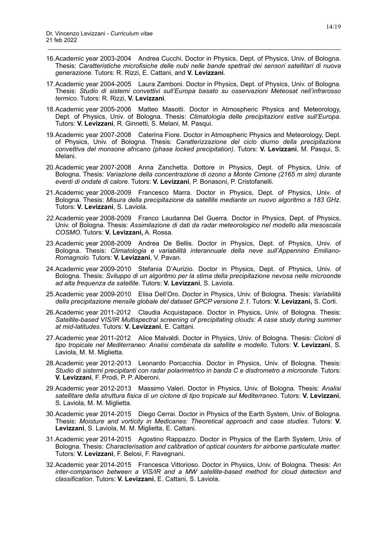16.Academic year 2003-2004 Andrea Cucchi. Doctor in Physics, Dept. of Physics, Univ. of Bologna. Thesis: *Caratteristiche microfisiche delle nubi nelle bande spettrali dei sensori satellitari di nuova generazione*. Tutors: R. Rizzi, E. Cattani, and **V. Levizzani**.

- 17.Academic year 2004-2005 Laura Zamboni. Doctor in Physics, Dept. of Physics, Univ. of Bologna. Thesis: *Studio di sistemi convettivi sull'Europa basato su osservazioni Meteosat nell'infrarosso termico*. Tutors: R. Rizzi, **V. Levizzani**.
- 18.Academic year 2005-2006 Matteo Masotti. Doctor in Atmospheric Physics and Meteorology, Dept. of Physics, Univ. of Bologna. Thesis: *Climatologia delle precipitazioni estive sull'Europa*. Tutors: **V. Levizzani**, R. Ginnetti, S. Melani, M. Pasqui.
- 19.Academic year 2007-2008 Caterina Fiore. Doctor in Atmospheric Physics and Meteorology, Dept. of Physics, Univ. of Bologna. Thesis: *Caratterizzazione del ciclo diurno della precipitazione convettiva del monsone africano (phase locked precipitation)*. Tutors: **V. Levizzani**, M. Pasqui, S. Melani.
- 20.Academic year 2007-2008 Anna Zanchetta. Dottore in Physics, Dept. of Physics, Univ. of Bologna. Thesis: *Variazione della concentrazione di ozono a Monte Cimone (2165 m slm) durante eventi di ondate di calore*. Tutors: **V. Levizzani**, P. Bonasoni, P. Cristofanelli.
- 21.Academic year 2008-2009 Francesco Marra. Doctor in Physics, Dept. of Physics, Univ. of Bologna. Thesis: *Misura della precipitazione da satellite mediante un nuovo algoritmo a 183 GHz*. Tutors: **V. Levizzani**, S. Laviola.
- *22.*Academic year 2008-2009 Franco Laudanna Del Guerra. Doctor in Physics, Dept. of Physics, Univ. of Bologna. Thesis: *Assimilazione di dati da radar meteorologico nel modello alla mesoscala COSMO*. Tutors: **V. Levizzani,** A. Rossa.
- 23.Academic year 2008-2009 Andrea De Bellis. Doctor in Physics, Dept. of Physics, Univ. of Bologna. Thesis: *Climatologia e variabilità interannuale della neve sull'Appennino Emiliano-Romagnolo*. Tutors: **V. Levizzani**, V. Pavan.
- 24.Academic year 2009-2010 Stefania D'Aurizio. Doctor in Physics, Dept. of Physics, Univ. of Bologna. Thesis: *Sviluppo di un algoritmo per la stima della precipitazione nevosa nelle microonde ad alta frequenza da satellite*. Tutors: **V. Levizzani**, S. Laviola.
- 25.Academic year 2009-2010 Elisa Dell'Oro. Doctor in Physics, Univ. of Bologna. Thesis: *Variabilità della precipitazione mensile globale del dataset GPCP versione 2.1*. Tutors: **V. Levizzani,** S. Corti.
- 26.Academic year 2011-2012 Claudia Acquistapace. Doctor in Physics, Univ. of Bologna. Thesis: Satellite-based VIS/IR Multispectral screening of precipitating clouds: A case study during summer *at mid-latitudes*. Tutors: **V. Levizzani**, E. Cattani.
- 27.Academic year 2011-2012 Alice Malvaldi. Doctor in Physics, Univ. of Bologna. Thesis: *Cicloni di tipo tropicale nel Mediterraneo: Analisi combinata da satellite e modello*. Tutors: **V. Levizzani**, S. Laviola, M. M. Miglietta.
- 28.Academic year 2012-2013 Leonardo Porcacchia. Doctor in Physics, Univ. of Bologna. Thesis: *Studio di sistemi precipitanti con radar polarimetrico in banda C e disdrometro a microonde*. Tutors: **V. Levizzani**, F. Prodi, P. P. Alberoni.
- 29.Academic year 2012-2013 Massimo Valeri. Doctor in Physics, Univ. of Bologna. Thesis: *Analisi satellitare della struttura fisica di un ciclone di tipo tropicale sul Mediterraneo*. Tutors: **V. Levizzani**, S. Laviola, M. M. Miglietta.
- 30.Academic year 2014-2015 Diego Cerrai. Doctor in Physics of the Earth System, Univ. of Bologna. Thesis: *Moisture and vorticity in Medicanes: Theoretical approach and case studies*. Tutors: **V. Levizzani**, S. Laviola, M. M. Miglietta, E. Cattani.
- 31.Academic year 2014-2015 Agostino Rappazzo. Doctor in Physics of the Earth System, Univ. of Bologna. Thesis: *Characterisation and calibration of optical counters for airborne particulate matter*. Tutors: **V. Levizzani**, F. Belosi, F. Ravegnani.
- 32.Academic year 2014-2015 Francesca Vittorioso. Doctor in Physics, Univ. of Bologna. Thesis: *An inter-comparison between a VIS/IR and a MW satellite-based method for cloud detection and classification*. Tutors: **V. Levizzani**, E. Cattani, S. Laviola.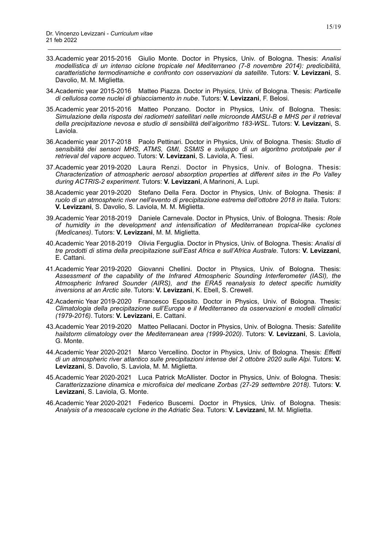33.Academic year 2015-2016 Giulio Monte. Doctor in Physics, Univ. of Bologna. Thesis: *Analisi modellistica di un intenso ciclone tropicale nel Mediterraneo (7-8 novembre 2014): predicibilità, caratteristiche termodinamiche e confronto con osservazioni da satellite*. Tutors: **V. Levizzani**, S. Davolio, M. M. Miglietta.

- 34.Academic year 2015-2016 Matteo Piazza. Doctor in Physics, Univ. of Bologna. Thesis: *Particelle di cellulosa come nuclei di ghiacciamento in nube*. Tutors: **V. Levizzani**, F. Belosi.
- 35.Academic year 2015-2016 Matteo Ponzano. Doctor in Physics, Univ. of Bologna. Thesis: *Simulazione della risposta dei radiometri satellitari nelle microonde AMSU-B e MHS per il retrieval della precipitazione nevosa e studio di sensibilità dell'algoritmo 183-WSL*. Tutors: **V. Levizzan**i, S. Laviola.
- 36.Academic year 2017-2018 Paolo Pettinari. Doctor in Physics, Univ. of Bologna. Thesis: *Studio di*  sensibilità dei sensori MHS, ATMS, GMI, SSMIS e sviluppo di un algoritmo prototipale per il *retrieval del vapore acqueo*. Tutors: **V. Levizzani**, S. Laviola, A. Tiesi.
- 37.Academic year 2019-2020 Laura Renzi. Doctor in Physics, Univ. of Bologna. Thesis: *Characterization of atmospheric aerosol absorption properties at different sites in the Po Valley during ACTRIS-2 experiment*. Tutors: **V. Levizzani**, A Marinoni, A. Lupi.
- 38.Academic year 2019-2020 Stefano Della Fera. Doctor in Physics, Univ. of Bologna. Thesis: *Il ruolo di un atmospheric river nell'evento di precipitazione estrema dell'ottobre 2018 in Italia*. Tutors: **V. Levizzani**, S. Davolio, S. Laviola, M. M. Miglietta.
- 39.Academic Year 2018-2019 Daniele Carnevale. Doctor in Physics, Univ. of Bologna. Thesis: *Role of humidity in the development and intensification of Mediterranean tropical-like cyclones (Medicanes)*. Tutors: **V. Levizzani**, M. M. Miglietta.
- 40.Academic Year 2018-2019 Olivia Ferguglia. Doctor in Physics, Univ. of Bologna. Thesis: *Analisi di tre prodotti di stima della precipitazione sull'East Africa e sull'Africa Australe*. Tutors: **V. Levizzani**, E. Cattani.
- 41.Academic Year 2019-2020 Giovanni Chellini. Doctor in Physics, Univ. of Bologna. Thesis: *Assessment of the capability of the Infrared Atmospheric Sounding Interferometer (IASI), the Atmospheric Infrared Sounder (AIRS), and the ERA5 reanalysis to detect specific humidity inversions at an Arctic site*. Tutors: **V. Levizzani**, K. Ebell, S. Crewell.
- 42.Academic Year 2019-2020 Francesco Esposito. Doctor in Physics, Univ. of Bologna. Thesis: *Climatologia della precipitazione sull'Europa e il Mediterraneo da osservazioni e modelli climatici (1979-2016)*. Tutors: **V. Levizzani**, E. Cattani.
- 43.Academic Year 2019-2020 Matteo Pellacani. Doctor in Physics, Univ. of Bologna. Thesis: *Satellite hailstorm climatology over the Mediterranean area (1999-2020)*. Tutors: **V. Levizzani**, S. Laviola, G. Monte.
- 44.Academic Year 2020-2021 Marco Vercellino. Doctor in Physics, Univ. of Bologna. Thesis: *Effetti di un atmospheric river atlantico sulle precipitazioni intense del 2 ottobre 2020 sulle Alpi*. Tutors: **V. Levizzani**, S. Davolio, S. Laviola, M. M. Miglietta.
- 45.Academic Year 2020-2021 Luca Patrick McAllister. Doctor in Physics, Univ. of Bologna. Thesis: *Caratterizzazione dinamica e microfisica del medicane Zorbas (27-29 settembre 2018)*. Tutors: **V. Levizzani**, S. Laviola, G. Monte.
- 46.Academic Year 2020-2021 Federico Buscemi. Doctor in Physics, Univ. of Bologna. Thesis: *Analysis of a mesoscale cyclone in the Adriatic Sea*. Tutors: **V. Levizzani**, M. M. Miglietta.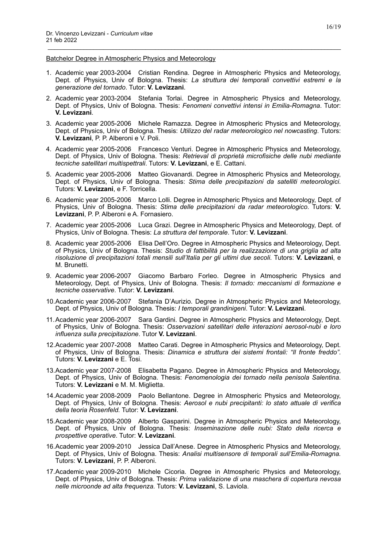#### Batchelor Degree in Atmospheric Physics and Meteorology

1. Academic year 2003-2004 Cristian Rendina. Degree in Atmospheric Physics and Meteorology, Dept. of Physics, Univ of Bologna. Thesis: *La struttura dei temporali convettivi estremi e la generazione del tornado*. Tutor: **V. Levizzani**.

- 2. Academic year 2003-2004 Stefania Torlai. Degree in Atmospheric Physics and Meteorology, Dept. of Physics, Univ of Bologna. Thesis: *Fenomeni convettivi intensi in Emilia-Romagna*. Tutor: **V. Levizzani**.
- 3. Academic year 2005-2006 Michele Ramazza. Degree in Atmospheric Physics and Meteorology, Dept. of Physics, Univ of Bologna. Thesis: *Utilizzo del radar meteorologico nel nowcasting*. Tutors: **V. Levizzani**, P. P. Alberoni e V. Poli.
- 4. Academic year 2005-2006 Francesco Venturi. Degree in Atmospheric Physics and Meteorology, Dept. of Physics, Univ of Bologna. Thesis: *Retrieval di proprietà microfisiche delle nubi mediante tecniche satellitari multispettrali*. Tutors: **V. Levizzani**, e E. Cattani.
- 5. Academic year 2005-2006 Matteo Giovanardi. Degree in Atmospheric Physics and Meteorology, Dept. of Physics, Univ of Bologna. Thesis: *Stima delle precipitazioni da satelliti meteorologici*. Tutors: **V. Levizzani**, e F. Torricella.
- 6. Academic year 2005-2006 Marco Lolli. Degree in Atmospheric Physics and Meteorology, Dept. of Physics, Univ of Bologna. Thesis: *Stima delle precipitazioni da radar meteorologico*. Tutors: **V. Levizzani**, P. P. Alberoni e A. Fornasiero.
- 7. Academic year 2005-2006 Luca Grazi. Degree in Atmospheric Physics and Meteorology, Dept. of Physics, Univ of Bologna. Thesis: *La struttura del temporale*. Tutor: **V. Levizzani**.
- 8. Academic year 2005-2006 Elisa Dell'Oro. Degree in Atmospheric Physics and Meteorology, Dept. of Physics, Univ of Bologna. Thesis: *Studio di fattibilità per la realizzazione di una griglia ad alta risoluzione di precipitazioni totali mensili sull'Italia per gli ultimi due secoli*. Tutors: **V. Levizzani**, e M. Brunetti.
- 9. Academic year 2006-2007 Giacomo Barbaro Forleo. Degree in Atmospheric Physics and Meteorology, Dept. of Physics, Univ of Bologna. Thesis: *Il tornado: meccanismi di formazione e tecniche osservative*. Tutor: **V. Levizzani**.
- 10.Academic year 2006-2007 Stefania D'Aurizio. Degree in Atmospheric Physics and Meteorology, Dept. of Physics, Univ of Bologna. Thesis: *I temporali grandinigeni*. Tutor: **V. Levizzani**.
- 11.Academic year 2006-2007 Sara Gardini. Degree in Atmospheric Physics and Meteorology, Dept. of Physics, Univ of Bologna. Thesis: *Osservazioni satellitari delle interazioni aerosol-nubi e loro influenza sulla precipitazione*. Tutor **V. Levizzani**.
- 12.Academic year 2007-2008 Matteo Carati. Degree in Atmospheric Physics and Meteorology, Dept. of Physics, Univ of Bologna. Thesis: *Dinamica e struttura dei sistemi frontali: "Il fronte freddo"*. Tutors: **V. Levizzani** e E. Tosi.
- 13.Academic year 2007-2008 Elisabetta Pagano. Degree in Atmospheric Physics and Meteorology, Dept. of Physics, Univ of Bologna. Thesis: *Fenomenologia dei tornado nella penisola Salentina*. Tutors: **V. Levizzani** e M. M. Miglietta.
- 14.Academic year 2008-2009 Paolo Bellantone. Degree in Atmospheric Physics and Meteorology, Dept. of Physics, Univ of Bologna. Thesis: *Aerosol e nubi precipitanti: lo stato attuale di verifica della teoria Rosenfeld.* Tutor: **V. Levizzani**.
- 15.Academic year 2008-2009 Alberto Gasparini. Degree in Atmospheric Physics and Meteorology, Dept. of Physics, Univ of Bologna. Thesis: *Inseminazione delle nubi: Stato della ricerca e prospettive operative*. Tutor: **V. Levizzani**.
- 16.Academic year 2009-2010 Jessica Dall'Anese. Degree in Atmospheric Physics and Meteorology, Dept. of Physics, Univ of Bologna. Thesis: *Analisi multisensore di temporali sull'Emilia-Romagna.* Tutors: **V. Levizzani**, P. P. Alberoni.
- 17.Academic year 2009-2010 Michele Cicoria. Degree in Atmospheric Physics and Meteorology, Dept. of Physics, Univ of Bologna. Thesis: *Prima validazione di una maschera di copertura nevosa nelle microonde ad alta frequenza.* Tutors: **V. Levizzani**, S. Laviola.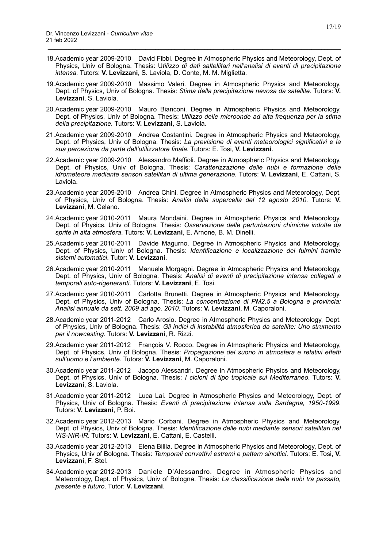18.Academic year 2009-2010 David Fibbi. Degree in Atmospheric Physics and Meteorology, Dept. of Physics, Univ of Bologna. Thesis: U*tilizzo di dati saltellitari nell'analisi di eventi di precipitazione intensa.* Tutors: **V. Levizzani**, S. Laviola, D. Conte, M. M. Miglietta.

- 19.Academic year 2009-2010 Massimo Valeri. Degree in Atmospheric Physics and Meteorology, Dept. of Physics, Univ of Bologna. Thesis: *Stima della precipitazione nevosa da satellite.* Tutors: **V. Levizzani**, S. Laviola.
- 20.Academic year 2009-2010 Mauro Bianconi. Degree in Atmospheric Physics and Meteorology, Dept. of Physics, Univ of Bologna. Thesis: *Utilizzo delle microonde ad alta frequenza per la stima della precipitazione.* Tutors: **V. Levizzani**, S. Laviola.
- 21.Academic year 2009-2010 Andrea Costantini. Degree in Atmospheric Physics and Meteorology, Dept. of Physics, Univ of Bologna. Thesis: *La previsione di eventi meteorologici significativi e la sua percezione da parte dell'utilizzatore finale.* Tutors: E. Tosi, **V. Levizzani**.
- 22.Academic year 2009-2010 Alessandro Maffioli. Degree in Atmospheric Physics and Meteorology, Dept. of Physics, Univ of Bologna. Thesis: *Caratterizzazione delle nubi e formazione delle idrometeore mediante sensori satellitari di ultima generazione.* Tutors: **V. Levizzani**, E. Cattani, S. Laviola.
- 23.Academic year 2009-2010 Andrea Chini. Degree in Atmospheric Physics and Meteorology, Dept. of Physics, Univ of Bologna. Thesis: *Analisi della supercella del 12 agosto 2010.* Tutors: **V. Levizzani**, M. Celano.
- 24.Academic year 2010-2011 Maura Mondaini. Degree in Atmospheric Physics and Meteorology, Dept. of Physics, Univ of Bologna. Thesis: *Osservazione delle perturbazioni chimiche indotte da sprite in alta atmosfera*. Tutors: **V. Levizzani**, E. Arnone, B. M. Dinelli.
- 25.Academic year 2010-2011 Davide Magurno. Degree in Atmospheric Physics and Meteorology, Dept. of Physics, Univ of Bologna. Thesis: *Identificazione e localizzazione dei fulmini tramite sistemi automatici*. Tutor: **V. Levizzani**.
- 26.Academic year 2010-2011 Manuele Morgagni. Degree in Atmospheric Physics and Meteorology, Dept. of Physics, Univ of Bologna. Thesis: *Analisi di eventi di precipitazione intensa collegati a temporali auto-rigeneranti*. Tutors: **V. Levizzani**, E. Tosi.
- 27.Academic year 2010-2011 Carlotta Brunetti. Degree in Atmospheric Physics and Meteorology, Dept. of Physics, Univ of Bologna. Thesis: *La concentrazione di PM2.5 a Bologna e provincia: Analisi annuale da sett. 2009 ad ago. 2010*. Tutors: **V. Levizzani**, M. Caporaloni.
- 28.Academic year 2011-2012 Carlo Arosio. Degree in Atmospheric Physics and Meteorology, Dept. of Physics, Univ of Bologna. Thesis: *Gli indici di instabilità atmosferica da satellite: Uno strumento per il nowcasting*. Tutors: **V. Levizzani**, R. Rizzi.
- 29.Academic year 2011-2012 François V. Rocco. Degree in Atmospheric Physics and Meteorology, Dept. of Physics, Univ of Bologna. Thesis: *Propagazione del suono in atmosfera e relativi effetti sull'uomo e l'ambiente*. Tutors: **V. Levizzani**, M. Caporaloni.
- 30.Academic year 2011-2012 Jacopo Alessandri. Degree in Atmospheric Physics and Meteorology, Dept. of Physics, Univ of Bologna. Thesis: *I cicloni di tipo tropicale sul Mediterraneo*. Tutors: **V. Levizzani**, S. Laviola.
- 31.Academic year 2011-2012 Luca Lai. Degree in Atmospheric Physics and Meteorology, Dept. of Physics, Univ of Bologna. Thesis: *Eventi di precipitazione intensa sulla Sardegna, 1950-1999*. Tutors: **V. Levizzani**, P. Boi.
- 32.Academic year 2012-2013 Mario Corbani. Degree in Atmospheric Physics and Meteorology, Dept. of Physics, Univ of Bologna. Thesis: *Identificazione delle nubi mediante sensori satellitari nel VIS-NIR-IR*. Tutors: **V. Levizzani**, E. Cattani, E. Castelli.
- 33.Academic year 2012-2013 Elena Billia. Degree in Atmospheric Physics and Meteorology, Dept. of Physics, Univ of Bologna. Thesis: *Temporali convettivi estremi e pattern sinottici*. Tutors: E. Tosi, **V. Levizzani**, F. Stel.
- 34.Academic year 2012-2013 Daniele D'Alessandro. Degree in Atmospheric Physics and Meteorology, Dept. of Physics, Univ of Bologna. Thesis: *La classificazione delle nubi tra passato, presente e futuro*. Tutor: **V. Levizzani**.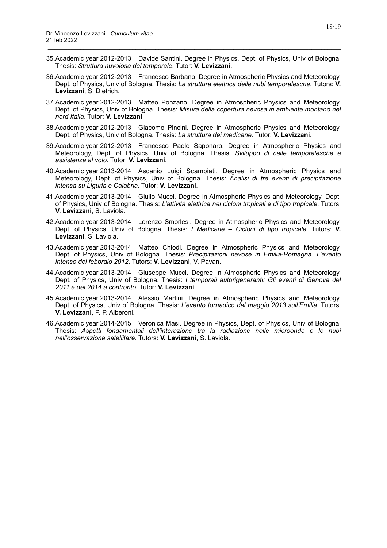35.Academic year 2012-2013 Davide Santini. Degree in Physics, Dept. of Physics, Univ of Bologna. Thesis: *Struttura nuvolosa del temporale*. Tutor: **V. Levizzani**.

- 36.Academic year 2012-2013 Francesco Barbano. Degree in Atmospheric Physics and Meteorology, Dept. of Physics, Univ of Bologna. Thesis: *La struttura elettrica delle nubi temporalesche*. Tutors: **V. Levizzani**, S. Dietrich.
- 37.Academic year 2012-2013 Matteo Ponzano. Degree in Atmospheric Physics and Meteorology, Dept. of Physics, Univ of Bologna. Thesis: *Misura della copertura nevosa in ambiente montano nel nord Italia*. Tutor: **V. Levizzani**.
- 38.Academic year 2012-2013 Giacomo Pincini. Degree in Atmospheric Physics and Meteorology, Dept. of Physics, Univ of Bologna. Thesis: *La struttura dei medicane*. Tutor: **V. Levizzani**.
- 39.Academic year 2012-2013 Francesco Paolo Saponaro. Degree in Atmospheric Physics and Meteorology, Dept. of Physics, Univ of Bologna. Thesis: *Sviluppo di celle temporalesche e assistenza al volo*. Tutor: **V. Levizzani**.
- 40.Academic year 2013-2014 Ascanio Luigi Scambiati. Degree in Atmospheric Physics and Meteorology, Dept. of Physics, Univ of Bologna. Thesis: *Analisi di tre eventi di precipitazione intensa su Liguria e Calabria*. Tutor: **V. Levizzani**.
- 41.Academic year 2013-2014 Giulio Mucci. Degree in Atmospheric Physics and Meteorology, Dept. of Physics, Univ of Bologna. Thesis: *L'attività elettrica nei cicloni tropicali e di tipo tropicale*. Tutors: **V. Levizzani**, S. Laviola.
- 42.Academic year 2013-2014 Lorenzo Smorlesi. Degree in Atmospheric Physics and Meteorology, Dept. of Physics, Univ of Bologna. Thesis: *I Medicane – Cicloni di tipo tropicale*. Tutors: **V. Levizzani**, S. Laviola.
- 43.Academic year 2013-2014 Matteo Chiodi. Degree in Atmospheric Physics and Meteorology, Dept. of Physics, Univ of Bologna. Thesis: *Precipitazioni nevose in Emilia-Romagna: L'evento intenso del febbraio 2012*. Tutors: **V. Levizzani**, V. Pavan.
- 44.Academic year 2013-2014 Giuseppe Mucci. Degree in Atmospheric Physics and Meteorology, Dept. of Physics, Univ of Bologna. Thesis: *I temporali autorigeneranti: Gli eventi di Genova del 2011 e del 2014 a confronto*. Tutor: **V. Levizzani**.
- 45.Academic year 2013-2014 Alessio Martini. Degree in Atmospheric Physics and Meteorology, Dept. of Physics, Univ of Bologna. Thesis: *L'evento tornadico del maggio 2013 sull'Emilia*. Tutors: **V. Levizzani**, P. P. Alberoni.
- 46.Academic year 2014-2015 Veronica Masi. Degree in Physics, Dept. of Physics, Univ of Bologna. Thesis: *Aspetti fondamentali dell'interazione tra la radiazione nelle microonde e le nubi nell'osservazione satellitare*. Tutors: **V. Levizzani**, S. Laviola.